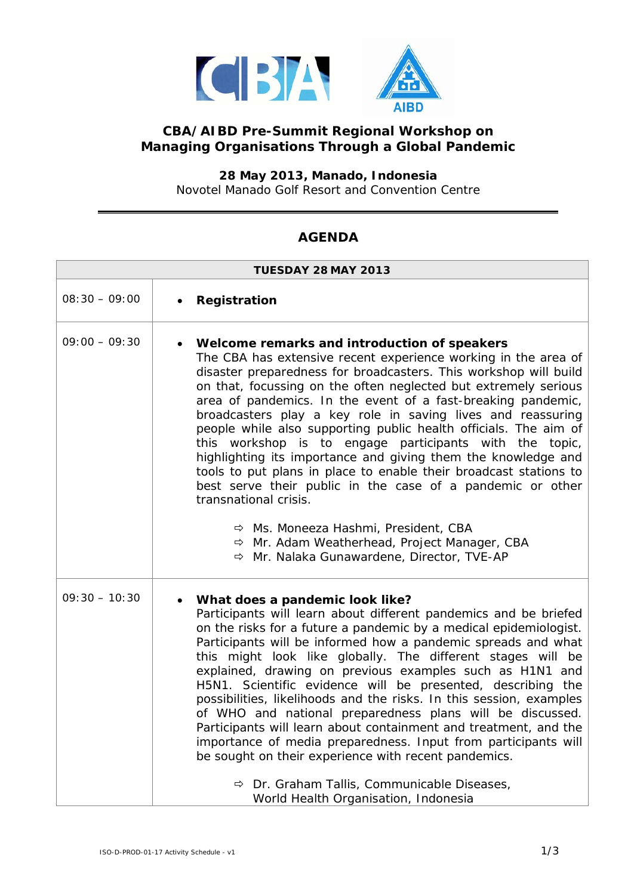

## **CBA/AIBD Pre-Summit Regional Workshop on Managing Organisations Through a Global Pandemic**

**28 May 2013, Manado, Indonesia** Novotel Manado Golf Resort and Convention Centre

## **AGENDA**

| <b>TUESDAY 28 MAY 2013</b> |                                                                                                                                                                                                                                                                                                                                                                                                                                                                                                                                                                                                                                                                                                                                                                                                                                                                                                      |  |
|----------------------------|------------------------------------------------------------------------------------------------------------------------------------------------------------------------------------------------------------------------------------------------------------------------------------------------------------------------------------------------------------------------------------------------------------------------------------------------------------------------------------------------------------------------------------------------------------------------------------------------------------------------------------------------------------------------------------------------------------------------------------------------------------------------------------------------------------------------------------------------------------------------------------------------------|--|
| $08:30 - 09:00$            | Registration                                                                                                                                                                                                                                                                                                                                                                                                                                                                                                                                                                                                                                                                                                                                                                                                                                                                                         |  |
| $09:00 - 09:30$            | • Welcome remarks and introduction of speakers<br>The CBA has extensive recent experience working in the area of<br>disaster preparedness for broadcasters. This workshop will build<br>on that, focussing on the often neglected but extremely serious<br>area of pandemics. In the event of a fast-breaking pandemic,<br>broadcasters play a key role in saving lives and reassuring<br>people while also supporting public health officials. The aim of<br>this workshop is to engage participants with the topic,<br>highlighting its importance and giving them the knowledge and<br>tools to put plans in place to enable their broadcast stations to<br>best serve their public in the case of a pandemic or other<br>transnational crisis.<br>→ Ms. Moneeza Hashmi, President, CBA<br>$\Rightarrow$ Mr. Adam Weatherhead, Project Manager, CBA<br>→ Mr. Nalaka Gunawardene, Director, TVE-AP |  |
| $09:30 - 10:30$            | • What does a pandemic look like?<br>Participants will learn about different pandemics and be briefed<br>on the risks for a future a pandemic by a medical epidemiologist.<br>Participants will be informed how a pandemic spreads and what<br>this might look like globally. The different stages will be<br>explained, drawing on previous examples such as H1N1 and<br>H5N1. Scientific evidence will be presented, describing the<br>possibilities, likelihoods and the risks. In this session, examples<br>of WHO and national preparedness plans will be discussed.<br>Participants will learn about containment and treatment, and the<br>importance of media preparedness. Input from participants will<br>be sought on their experience with recent pandemics.<br>$\Rightarrow$ Dr. Graham Tallis, Communicable Diseases,<br>World Health Organisation, Indonesia                           |  |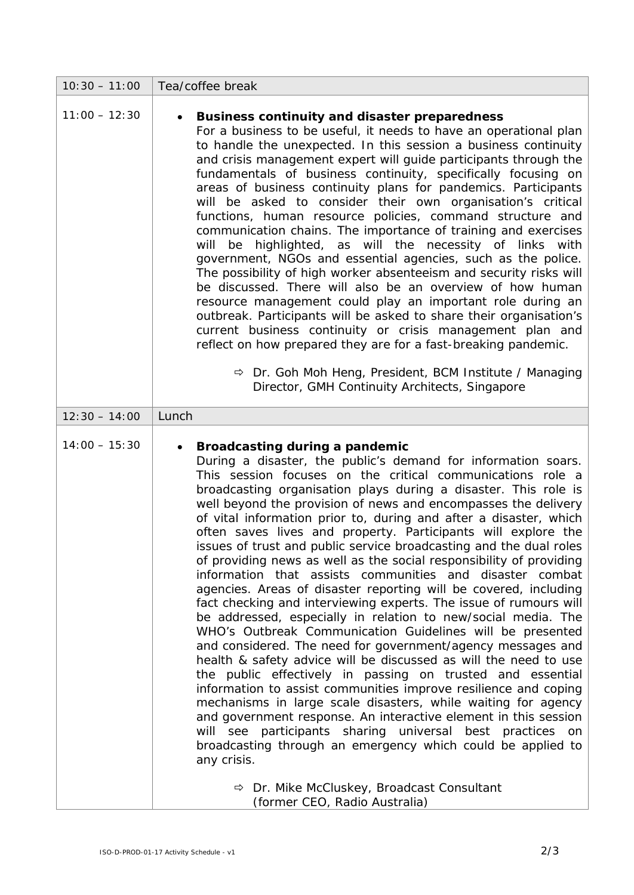| $10:30 - 11:00$ | Tea/coffee break                                                                                                                                                                                                                                                                                                                                                                                                                                                                                                                                                                                                                                                                                                                                                                                                                                                                                                                                                                                                                                                                                                                                                                                                                                                                                                                                                                                                                                                                                                                                                       |
|-----------------|------------------------------------------------------------------------------------------------------------------------------------------------------------------------------------------------------------------------------------------------------------------------------------------------------------------------------------------------------------------------------------------------------------------------------------------------------------------------------------------------------------------------------------------------------------------------------------------------------------------------------------------------------------------------------------------------------------------------------------------------------------------------------------------------------------------------------------------------------------------------------------------------------------------------------------------------------------------------------------------------------------------------------------------------------------------------------------------------------------------------------------------------------------------------------------------------------------------------------------------------------------------------------------------------------------------------------------------------------------------------------------------------------------------------------------------------------------------------------------------------------------------------------------------------------------------------|
| $11:00 - 12:30$ | Business continuity and disaster preparedness<br>For a business to be useful, it needs to have an operational plan<br>to handle the unexpected. In this session a business continuity<br>and crisis management expert will guide participants through the<br>fundamentals of business continuity, specifically focusing on<br>areas of business continuity plans for pandemics. Participants<br>will be asked to consider their own organisation's critical<br>functions, human resource policies, command structure and<br>communication chains. The importance of training and exercises<br>highlighted, as will the necessity of links with<br>will<br>be<br>government, NGOs and essential agencies, such as the police.<br>The possibility of high worker absenteeism and security risks will<br>be discussed. There will also be an overview of how human<br>resource management could play an important role during an<br>outbreak. Participants will be asked to share their organisation's<br>current business continuity or crisis management plan and<br>reflect on how prepared they are for a fast-breaking pandemic.<br>$\Rightarrow$ Dr. Goh Moh Heng, President, BCM Institute / Managing<br>Director, GMH Continuity Architects, Singapore                                                                                                                                                                                                                                                                                                            |
| $12:30 - 14:00$ | Lunch                                                                                                                                                                                                                                                                                                                                                                                                                                                                                                                                                                                                                                                                                                                                                                                                                                                                                                                                                                                                                                                                                                                                                                                                                                                                                                                                                                                                                                                                                                                                                                  |
| $14:00 - 15:30$ | Broadcasting during a pandemic<br>During a disaster, the public's demand for information soars.<br>This session focuses on the critical communications role a<br>broadcasting organisation plays during a disaster. This role is<br>well beyond the provision of news and encompasses the delivery<br>of vital information prior to, during and after a disaster, which<br>often saves lives and property. Participants will explore the<br>issues of trust and public service broadcasting and the dual roles<br>of providing news as well as the social responsibility of providing<br>information that assists communities and disaster combat<br>agencies. Areas of disaster reporting will be covered, including<br>fact checking and interviewing experts. The issue of rumours will<br>be addressed, especially in relation to new/social media. The<br>WHO's Outbreak Communication Guidelines will be presented<br>and considered. The need for government/agency messages and<br>health & safety advice will be discussed as will the need to use<br>the public effectively in passing on trusted and essential<br>information to assist communities improve resilience and coping<br>mechanisms in large scale disasters, while waiting for agency<br>and government response. An interactive element in this session<br>will see participants sharing universal best practices on<br>broadcasting through an emergency which could be applied to<br>any crisis.<br>$\Rightarrow$ Dr. Mike McCluskey, Broadcast Consultant<br>(former CEO, Radio Australia) |